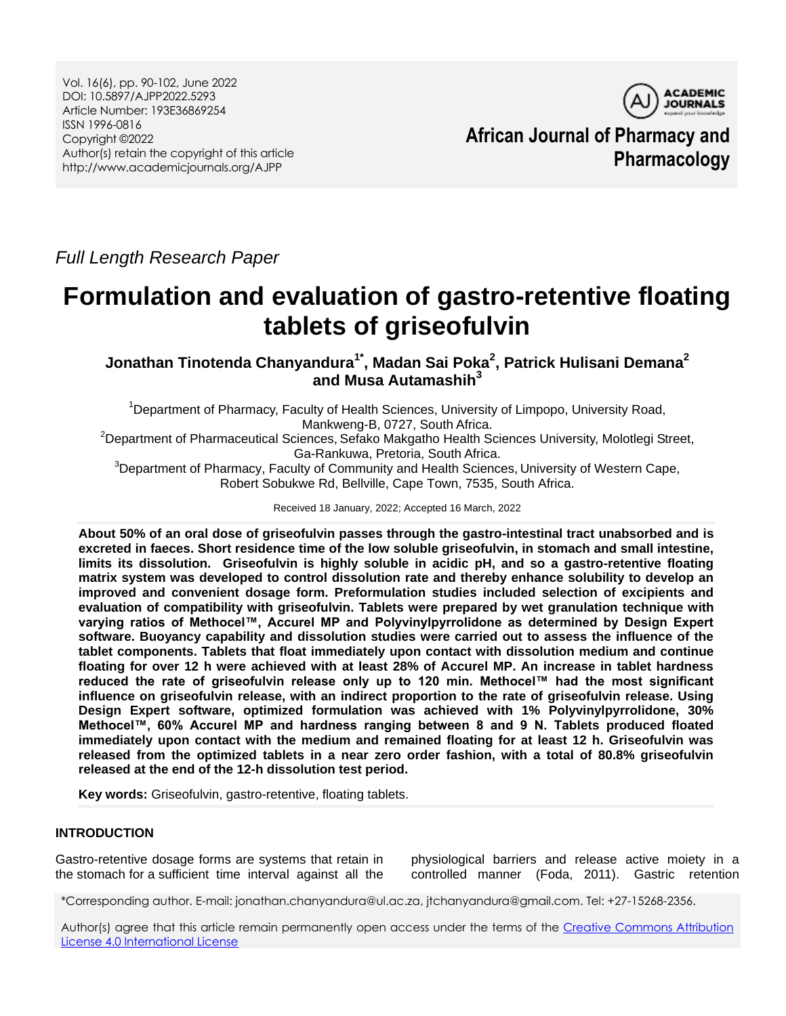Vol. 16(6), pp. 90-102, June 2022 DOI: 10.5897/AJPP2022.5293 Article Number: 193E36869254 ISSN 1996-0816 Copyright ©2022 Author(s) retain the copyright of this article http://www.academicjournals.org/AJPP



**African Journal of Pharmacy and Pharmacology**

*Full Length Research Paper*

# **Formulation and evaluation of gastro-retentive floating tablets of griseofulvin**

**Jonathan Tinotenda Chanyandura1\* , Madan Sai Poka<sup>2</sup> , Patrick Hulisani Demana<sup>2</sup> and Musa Autamashih<sup>3</sup>**

<sup>1</sup>Department of Pharmacy, Faculty of Health Sciences, University of Limpopo, University Road, Mankweng-B, 0727, South Africa. <sup>2</sup>Department of Pharmaceutical Sciences, Sefako Makgatho Health Sciences University, Molotlegi Street, Ga-Rankuwa, Pretoria, South Africa. <sup>3</sup>Department of Pharmacy, Faculty of Community and Health Sciences, University of Western Cape, Robert Sobukwe Rd, Bellville, Cape Town, 7535, South Africa.

Received 18 January, 2022; Accepted 16 March, 2022

**About 50% of an oral dose of griseofulvin passes through the gastro-intestinal tract unabsorbed and is excreted in faeces. Short residence time of the low soluble griseofulvin, in stomach and small intestine, limits its dissolution. Griseofulvin is highly soluble in acidic pH, and so a gastro-retentive floating matrix system was developed to control dissolution rate and thereby enhance solubility to develop an improved and convenient dosage form. Preformulation studies included selection of excipients and evaluation of compatibility with griseofulvin. Tablets were prepared by wet granulation technique with varying ratios of Methocel™, Accurel MP and Polyvinylpyrrolidone as determined by Design Expert software. Buoyancy capability and dissolution studies were carried out to assess the influence of the tablet components. Tablets that float immediately upon contact with dissolution medium and continue floating for over 12 h were achieved with at least 28% of Accurel MP. An increase in tablet hardness reduced the rate of griseofulvin release only up to 120 min. Methocel™ had the most significant influence on griseofulvin release, with an indirect proportion to the rate of griseofulvin release. Using Design Expert software, optimized formulation was achieved with 1% Polyvinylpyrrolidone, 30% Methocel™, 60% Accurel MP and hardness ranging between 8 and 9 N. Tablets produced floated immediately upon contact with the medium and remained floating for at least 12 h. Griseofulvin was released from the optimized tablets in a near zero order fashion, with a total of 80.8% griseofulvin released at the end of the 12-h dissolution test period.**

**Key words:** Griseofulvin, gastro-retentive, floating tablets.

# **INTRODUCTION**

Gastro-retentive dosage forms are systems that retain in the stomach for a sufficient time interval against all the physiological barriers and release active moiety in a controlled manner (Foda, 2011). Gastric retention

\*Corresponding author. E-mail: jonathan.chanyandura@ul.ac.za, jtchanyandura@gmail.com. Tel: +27-15268-2356.

Author(s) agree that this article remain permanently open access under the terms of the [Creative Commons Attribution](http://creativecommons.org/licenses/by/4.0/deed.en_US)  [License 4.0 International License](http://creativecommons.org/licenses/by/4.0/deed.en_US)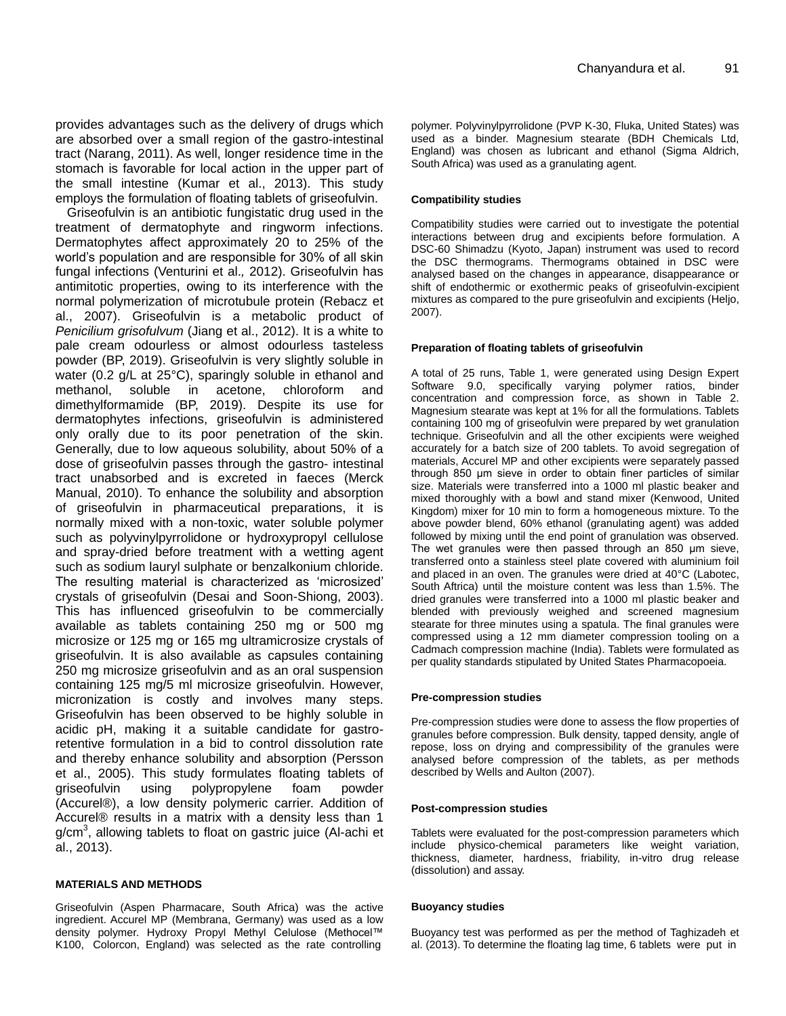provides advantages such as the delivery of drugs which are absorbed over a small region of the gastro-intestinal tract (Narang, 2011). As well, longer residence time in the stomach is favorable for local action in the upper part of the small intestine (Kumar et al., 2013). This study employs the formulation of floating tablets of griseofulvin.

Griseofulvin is an antibiotic fungistatic drug used in the treatment of dermatophyte and ringworm infections. Dermatophytes affect approximately 20 to 25% of the world"s population and are responsible for 30% of all skin fungal infections (Venturini et al.*,* 2012). Griseofulvin has antimitotic properties, owing to its interference with the normal polymerization of microtubule protein (Rebacz et al., 2007). Griseofulvin is a metabolic product of *Penicilium grisofulvum* (Jiang et al., 2012). It is a white to pale cream odourless or almost odourless tasteless powder (BP, 2019). Griseofulvin is very slightly soluble in water (0.2 g/L at 25°C), sparingly soluble in ethanol and methanol, soluble in acetone, chloroform and dimethylformamide (BP, 2019). Despite its use for dermatophytes infections, griseofulvin is administered only orally due to its poor penetration of the skin. Generally, due to low aqueous solubility, about 50% of a dose of griseofulvin passes through the gastro- intestinal tract unabsorbed and is excreted in faeces (Merck Manual, 2010). To enhance the solubility and absorption of griseofulvin in pharmaceutical preparations, it is normally mixed with a non-toxic, water soluble polymer such as polyvinylpyrrolidone or hydroxypropyl cellulose and spray-dried before treatment with a wetting agent such as sodium lauryl sulphate or benzalkonium chloride. The resulting material is characterized as "microsized" crystals of griseofulvin (Desai and Soon-Shiong, 2003). This has influenced griseofulvin to be commercially available as tablets containing 250 mg or 500 mg microsize or 125 mg or 165 mg ultramicrosize crystals of griseofulvin. It is also available as capsules containing 250 mg microsize griseofulvin and as an oral suspension containing 125 mg/5 ml microsize griseofulvin. However, micronization is costly and involves many steps. Griseofulvin has been observed to be highly soluble in acidic pH, making it a suitable candidate for gastroretentive formulation in a bid to control dissolution rate and thereby enhance solubility and absorption (Persson et al., 2005). This study formulates floating tablets of griseofulvin using polypropylene foam powder (Accurel®), a low density polymeric carrier. Addition of Accurel® results in a matrix with a density less than 1  $g/cm<sup>3</sup>$ , allowing tablets to float on gastric juice (Al-achi et al., 2013).

#### **MATERIALS AND METHODS**

Griseofulvin (Aspen Pharmacare, South Africa) was the active ingredient. Accurel MP (Membrana, Germany) was used as a low density polymer. Hydroxy Propyl Methyl Celulose (Methocel™ K100, Colorcon, England) was selected as the rate controlling

polymer. Polyvinylpyrrolidone (PVP K-30, Fluka, United States) was used as a binder. Magnesium stearate (BDH Chemicals Ltd, England) was chosen as lubricant and ethanol (Sigma Aldrich, South Africa) was used as a granulating agent.

#### **Compatibility studies**

Compatibility studies were carried out to investigate the potential interactions between drug and excipients before formulation. A DSC-60 Shimadzu (Kyoto, Japan) instrument was used to record the DSC thermograms. Thermograms obtained in DSC were analysed based on the changes in appearance, disappearance or shift of endothermic or exothermic peaks of griseofulvin-excipient mixtures as compared to the pure griseofulvin and excipients (Heljo, 2007).

#### **Preparation of floating tablets of griseofulvin**

A total of 25 runs, Table 1, were generated using Design Expert Software 9.0, specifically varying polymer ratios, binder concentration and compression force, as shown in Table 2. Magnesium stearate was kept at 1% for all the formulations. Tablets containing 100 mg of griseofulvin were prepared by wet granulation technique. Griseofulvin and all the other excipients were weighed accurately for a batch size of 200 tablets. To avoid segregation of materials, Accurel MP and other excipients were separately passed through 850 μm sieve in order to obtain finer particles of similar size. Materials were transferred into a 1000 ml plastic beaker and mixed thoroughly with a bowl and stand mixer (Kenwood, United Kingdom) mixer for 10 min to form a homogeneous mixture. To the above powder blend, 60% ethanol (granulating agent) was added followed by mixing until the end point of granulation was observed. The wet granules were then passed through an 850 μm sieve, transferred onto a stainless steel plate covered with aluminium foil and placed in an oven. The granules were dried at 40°C (Labotec, South Aftrica) until the moisture content was less than 1.5%. The dried granules were transferred into a 1000 ml plastic beaker and blended with previously weighed and screened magnesium stearate for three minutes using a spatula. The final granules were compressed using a 12 mm diameter compression tooling on a Cadmach compression machine (India). Tablets were formulated as per quality standards stipulated by United States Pharmacopoeia.

#### **Pre-compression studies**

Pre-compression studies were done to assess the flow properties of granules before compression. Bulk density, tapped density, angle of repose, loss on drying and compressibility of the granules were analysed before compression of the tablets, as per methods described by Wells and Aulton (2007).

#### **Post-compression studies**

Tablets were evaluated for the post-compression parameters which include physico-chemical parameters like weight variation, thickness, diameter, hardness, friability, in-vitro drug release (dissolution) and assay.

#### **Buoyancy studies**

Buoyancy test was performed as per the method of Taghizadeh et al. (2013). To determine the floating lag time, 6 tablets were put in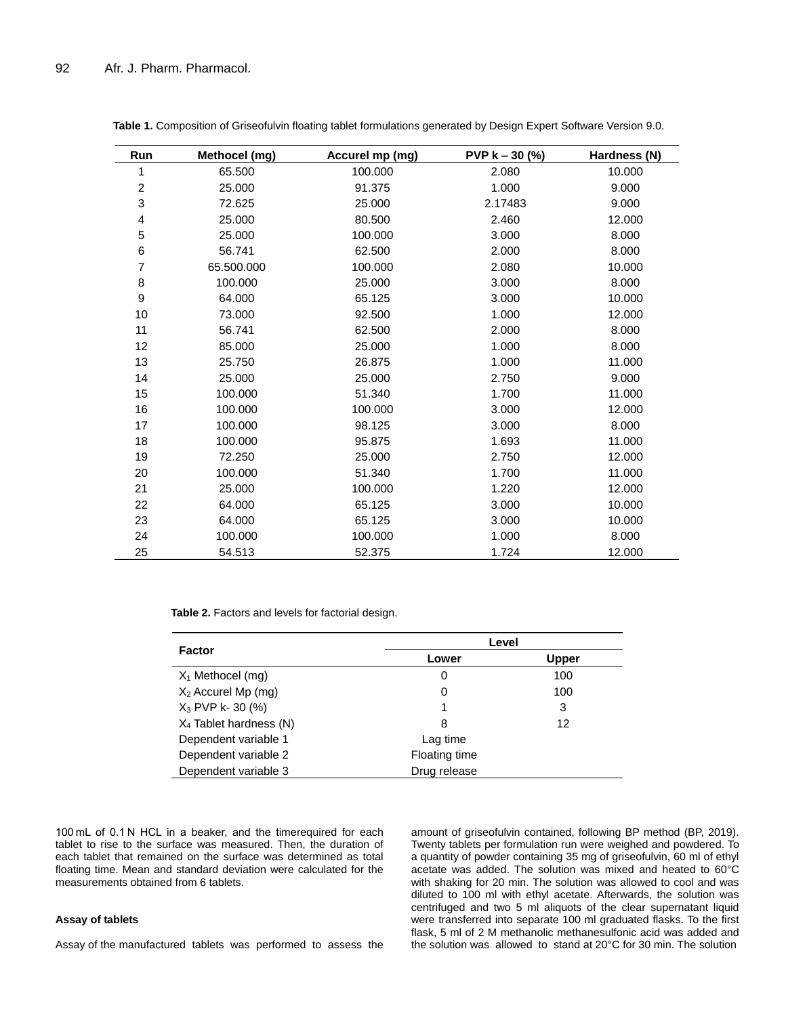| <b>Run</b>       | Methocel (mg) | Accurel mp (mg) | PVP $k - 30$ (%) | Hardness (N) |
|------------------|---------------|-----------------|------------------|--------------|
| 1                | 65.500        | 100.000         | 2.080            | 10.000       |
| $\boldsymbol{2}$ | 25.000        | 91.375          | 1.000            | 9.000        |
| 3                | 72.625        | 25.000          | 2.17483          | 9.000        |
| 4                | 25.000        | 80.500          | 2.460            | 12.000       |
| 5                | 25.000        | 100.000         | 3.000            | 8.000        |
| 6                | 56.741        | 62.500          | 2.000            | 8.000        |
| $\overline{7}$   | 65.500.000    | 100.000         | 2.080            | 10.000       |
| 8                | 100.000       | 25.000          | 3.000            | 8.000        |
| $\boldsymbol{9}$ | 64.000        | 65.125          | 3.000            | 10.000       |
| 10               | 73.000        | 92.500          | 1.000            | 12.000       |
| 11               | 56.741        | 62.500          | 2.000            | 8.000        |
| 12               | 85.000        | 25.000          | 1.000            | 8.000        |
| 13               | 25.750        | 26.875          | 1.000            | 11.000       |
| 14               | 25,000        | 25.000          | 2.750            | 9.000        |
| 15               | 100.000       | 51.340          | 1.700            | 11.000       |
| 16               | 100.000       | 100.000         | 3.000            | 12.000       |
| 17               | 100.000       | 98.125          | 3.000            | 8.000        |
| 18               | 100.000       | 95.875          | 1.693            | 11.000       |
| 19               | 72.250        | 25.000          | 2.750            | 12.000       |
| 20               | 100.000       | 51.340          | 1.700            | 11.000       |
| 21               | 25.000        | 100.000         | 1.220            | 12.000       |
| 22               | 64.000        | 65.125          | 3.000            | 10.000       |
| 23               | 64.000        | 65.125          | 3.000            | 10.000       |
| 24               | 100.000       | 100.000         | 1.000            | 8.000        |
| 25               | 54.513        | 52.375          | 1.724            | 12.000       |

**Table 1.** Composition of Griseofulvin floating tablet formulations generated by Design Expert Software Version 9.0.

**Table 2.** Factors and levels for factorial design.

|                           | Level         |              |
|---------------------------|---------------|--------------|
| <b>Factor</b>             | Lower         | <b>Upper</b> |
| $X_1$ Methocel (mg)       | 0             | 100          |
| $X_2$ Accurel Mp (mg)     | 0             | 100          |
| $X_3$ PVP k- 30 (%)       |               | 3            |
| $X_4$ Tablet hardness (N) | 8             | 12           |
| Dependent variable 1      | Lag time      |              |
| Dependent variable 2      | Floating time |              |
| Dependent variable 3      | Drug release  |              |

100 mL of 0.1 N HCL in a beaker, and the timerequired for each tablet to rise to the surface was measured. Then, the duration of each tablet that remained on the surface was determined as total floating time. Mean and standard deviation were calculated for the measurements obtained from 6 tablets.

 $\overline{a}$ 

#### **Assay of tablets**

Assay of the manufactured tablets was performed to assess the

amount of griseofulvin contained, following BP method (BP, 2019). Twenty tablets per formulation run were weighed and powdered. To a quantity of powder containing 35 mg of griseofulvin, 60 ml of ethyl acetate was added. The solution was mixed and heated to 60°C with shaking for 20 min. The solution was allowed to cool and was diluted to 100 ml with ethyl acetate. Afterwards, the solution was centrifuged and two 5 ml aliquots of the clear supernatant liquid were transferred into separate 100 ml graduated flasks. To the first flask, 5 ml of 2 M methanolic methanesulfonic acid was added and the solution was allowed to stand at 20°C for 30 min. The solution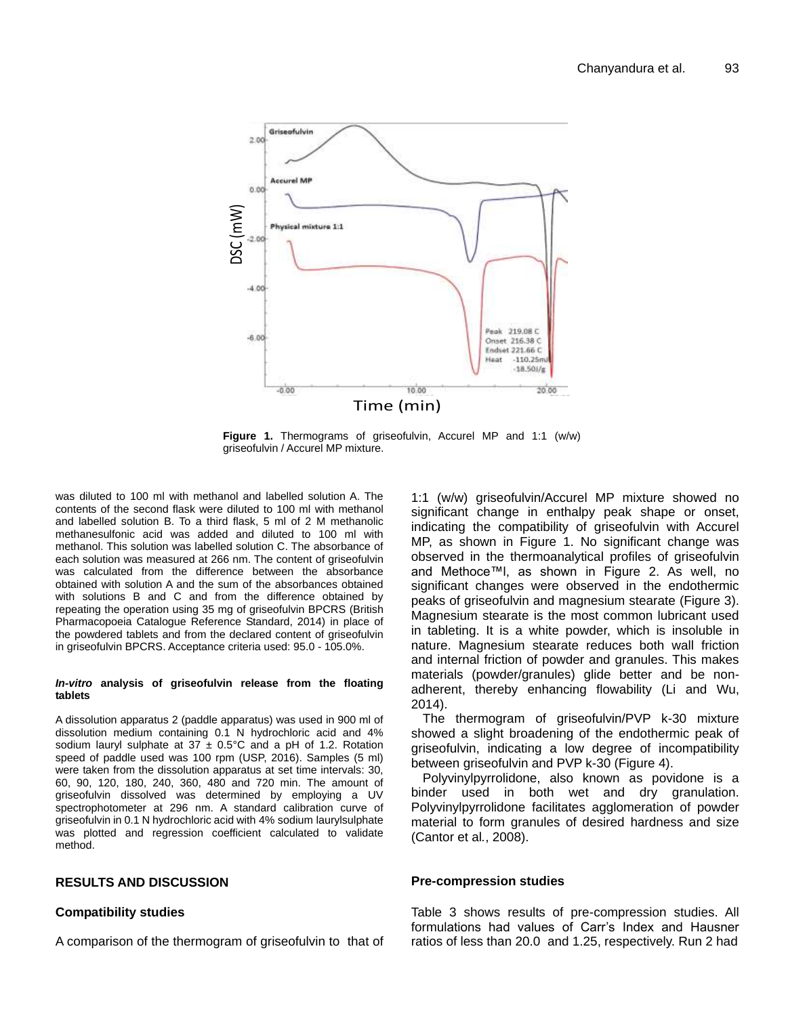

**Figure 1.** Thermograms of griseofulvin, Accurel MP and 1:1 (w/w) griseofulvin / Accurel MP mixture.

was diluted to 100 ml with methanol and labelled solution A. The contents of the second flask were diluted to 100 ml with methanol and labelled solution B. To a third flask, 5 ml of 2 M methanolic methanesulfonic acid was added and diluted to 100 ml with methanol. This solution was labelled solution C. The absorbance of each solution was measured at 266 nm. The content of griseofulvin was calculated from the difference between the absorbance obtained with solution A and the sum of the absorbances obtained with solutions B and C and from the difference obtained by repeating the operation using 35 mg of griseofulvin BPCRS (British Pharmacopoeia Catalogue Reference Standard, 2014) in place of the powdered tablets and from the declared content of griseofulvin in griseofulvin BPCRS. Acceptance criteria used: 95.0 - 105.0%.

#### *In-vitro* **analysis of griseofulvin release from the floating tablets**

A dissolution apparatus 2 (paddle apparatus) was used in 900 ml of dissolution medium containing 0.1 N hydrochloric acid and 4% sodium lauryl sulphate at  $37 \pm 0.5^{\circ}$ C and a pH of 1.2. Rotation speed of paddle used was 100 rpm (USP, 2016). Samples (5 ml) were taken from the dissolution apparatus at set time intervals: 30, 60, 90, 120, 180, 240, 360, 480 and 720 min. The amount of griseofulvin dissolved was determined by employing a UV spectrophotometer at 296 nm. A standard calibration curve of griseofulvin in 0.1 N hydrochloric acid with 4% sodium laurylsulphate was plotted and regression coefficient calculated to validate method.

# **RESULTS AND DISCUSSION**

## **Compatibility studies**

A comparison of the thermogram of griseofulvin to that of

1:1 (w/w) griseofulvin/Accurel MP mixture showed no significant change in enthalpy peak shape or onset, indicating the compatibility of griseofulvin with Accurel MP, as shown in Figure 1. No significant change was observed in the thermoanalytical profiles of griseofulvin and Methoce™l, as shown in Figure 2. As well, no significant changes were observed in the endothermic peaks of griseofulvin and magnesium stearate (Figure 3). Magnesium stearate is the most common lubricant used in tableting. It is a white powder, which is insoluble in nature. Magnesium stearate reduces both wall friction and internal friction of powder and granules. This makes materials (powder/granules) glide better and be nonadherent, thereby enhancing flowability (Li and Wu, 2014).

The thermogram of griseofulvin/PVP k-30 mixture showed a slight broadening of the endothermic peak of griseofulvin, indicating a low degree of incompatibility between griseofulvin and PVP k-30 (Figure 4).

Polyvinylpyrrolidone, also known as povidone is a binder used in both wet and dry granulation. Polyvinylpyrrolidone facilitates agglomeration of powder material to form granules of desired hardness and size (Cantor et al*.*, 2008).

## **Pre-compression studies**

Table 3 shows results of pre-compression studies. All formulations had values of Carr"s Index and Hausner ratios of less than 20.0 and 1.25, respectively. Run 2 had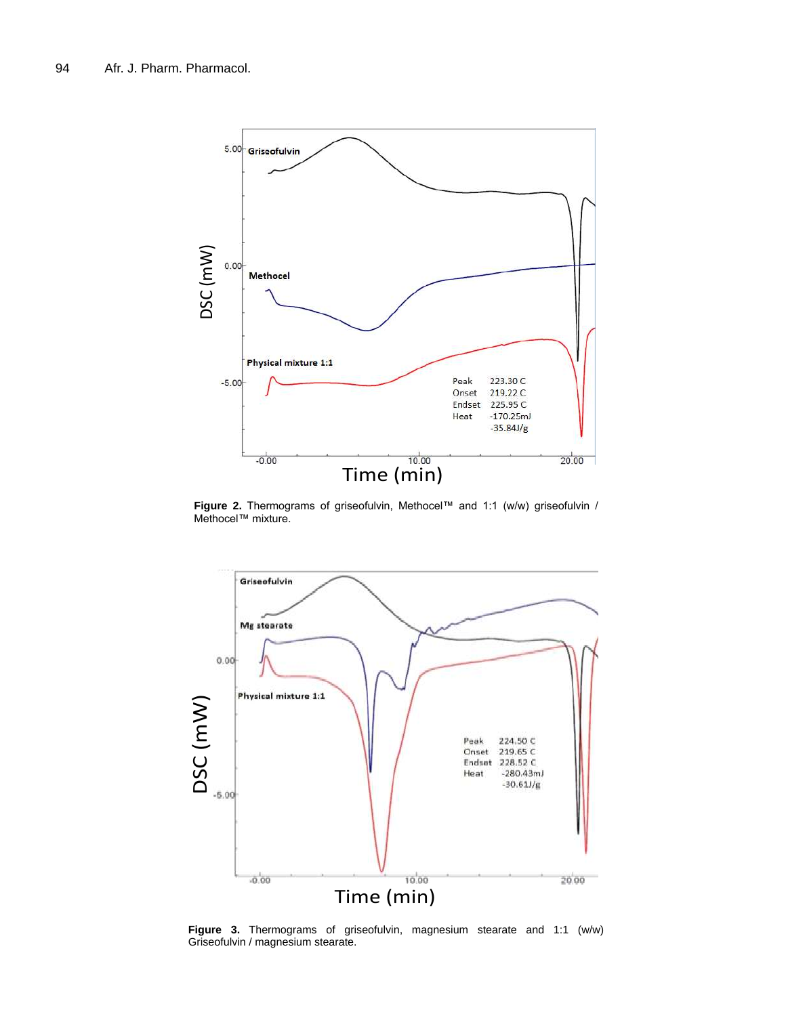

**Figure 2.** Thermograms of griseofulvin, Methocel™ and 1:1 (w/w) griseofulvin / Methocel™ mixture.



**Figure 3.** Thermograms of griseofulvin, magnesium stearate and 1:1 (w/w) Griseofulvin / magnesium stearate.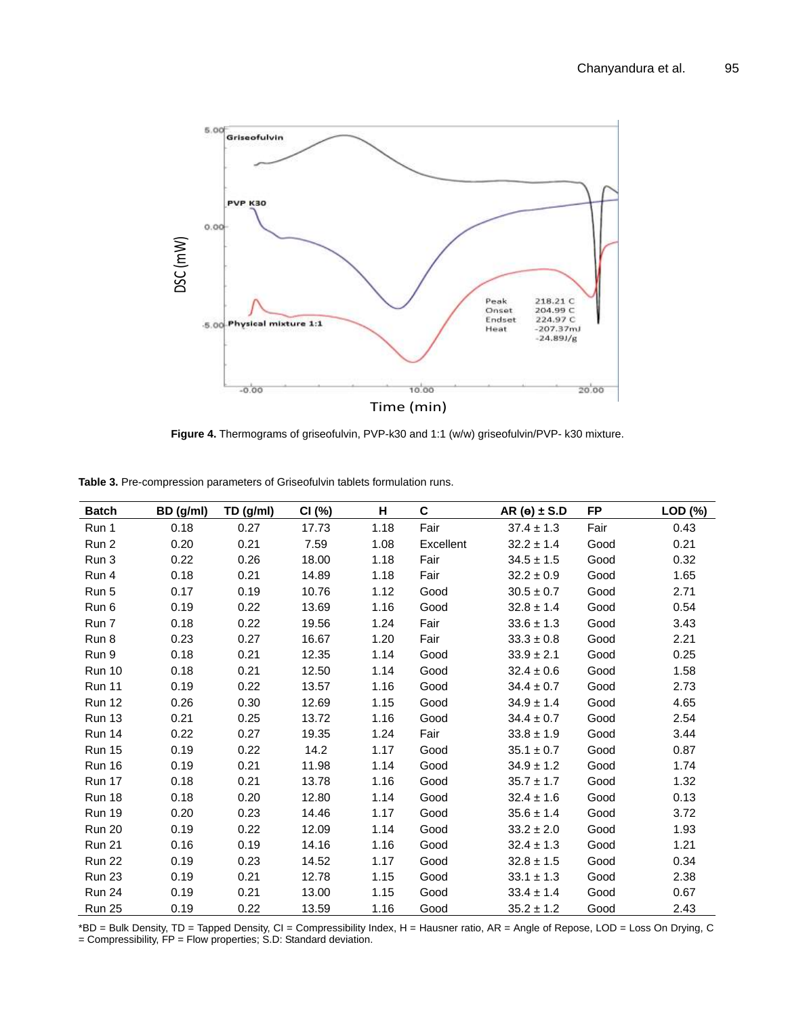

**Figure 4.** Thermograms of griseofulvin, PVP-k30 and 1:1 (w/w) griseofulvin/PVP- k30 mixture.

**Table 3.** Pre-compression parameters of Griseofulvin tablets formulation runs.

| <b>Batch</b>  | BD (g/ml) | TD (g/ml) | CI(%) | н    | C         | AR ( $\theta$ ) ± S.D | FP.  | $LOD$ $(\%)$ |
|---------------|-----------|-----------|-------|------|-----------|-----------------------|------|--------------|
| Run 1         | 0.18      | 0.27      | 17.73 | 1.18 | Fair      | $37.4 \pm 1.3$        | Fair | 0.43         |
| Run 2         | 0.20      | 0.21      | 7.59  | 1.08 | Excellent | $32.2 \pm 1.4$        | Good | 0.21         |
| Run 3         | 0.22      | 0.26      | 18.00 | 1.18 | Fair      | $34.5 \pm 1.5$        | Good | 0.32         |
| Run 4         | 0.18      | 0.21      | 14.89 | 1.18 | Fair      | $32.2 \pm 0.9$        | Good | 1.65         |
| Run 5         | 0.17      | 0.19      | 10.76 | 1.12 | Good      | $30.5 \pm 0.7$        | Good | 2.71         |
| Run 6         | 0.19      | 0.22      | 13.69 | 1.16 | Good      | $32.8 \pm 1.4$        | Good | 0.54         |
| Run 7         | 0.18      | 0.22      | 19.56 | 1.24 | Fair      | $33.6 \pm 1.3$        | Good | 3.43         |
| Run 8         | 0.23      | 0.27      | 16.67 | 1.20 | Fair      | $33.3 \pm 0.8$        | Good | 2.21         |
| Run 9         | 0.18      | 0.21      | 12.35 | 1.14 | Good      | $33.9 \pm 2.1$        | Good | 0.25         |
| Run 10        | 0.18      | 0.21      | 12.50 | 1.14 | Good      | $32.4 \pm 0.6$        | Good | 1.58         |
| <b>Run 11</b> | 0.19      | 0.22      | 13.57 | 1.16 | Good      | $34.4 \pm 0.7$        | Good | 2.73         |
| <b>Run 12</b> | 0.26      | 0.30      | 12.69 | 1.15 | Good      | $34.9 \pm 1.4$        | Good | 4.65         |
| <b>Run 13</b> | 0.21      | 0.25      | 13.72 | 1.16 | Good      | $34.4 \pm 0.7$        | Good | 2.54         |
| <b>Run 14</b> | 0.22      | 0.27      | 19.35 | 1.24 | Fair      | $33.8 \pm 1.9$        | Good | 3.44         |
| <b>Run 15</b> | 0.19      | 0.22      | 14.2  | 1.17 | Good      | $35.1 \pm 0.7$        | Good | 0.87         |
| <b>Run 16</b> | 0.19      | 0.21      | 11.98 | 1.14 | Good      | $34.9 \pm 1.2$        | Good | 1.74         |
| <b>Run 17</b> | 0.18      | 0.21      | 13.78 | 1.16 | Good      | $35.7 \pm 1.7$        | Good | 1.32         |
| <b>Run 18</b> | 0.18      | 0.20      | 12.80 | 1.14 | Good      | $32.4 \pm 1.6$        | Good | 0.13         |
| <b>Run 19</b> | 0.20      | 0.23      | 14.46 | 1.17 | Good      | $35.6 \pm 1.4$        | Good | 3.72         |
| <b>Run 20</b> | 0.19      | 0.22      | 12.09 | 1.14 | Good      | $33.2 \pm 2.0$        | Good | 1.93         |
| <b>Run 21</b> | 0.16      | 0.19      | 14.16 | 1.16 | Good      | $32.4 \pm 1.3$        | Good | 1.21         |
| <b>Run 22</b> | 0.19      | 0.23      | 14.52 | 1.17 | Good      | $32.8 \pm 1.5$        | Good | 0.34         |
| <b>Run 23</b> | 0.19      | 0.21      | 12.78 | 1.15 | Good      | $33.1 \pm 1.3$        | Good | 2.38         |
| <b>Run 24</b> | 0.19      | 0.21      | 13.00 | 1.15 | Good      | $33.4 \pm 1.4$        | Good | 0.67         |
| <b>Run 25</b> | 0.19      | 0.22      | 13.59 | 1.16 | Good      | $35.2 \pm 1.2$        | Good | 2.43         |

\*BD = Bulk Density, TD = Tapped Density, CI = Compressibility Index, H = Hausner ratio, AR = Angle of Repose, LOD = Loss On Drying, C = Compressibility, FP = Flow properties; S.D: Standard deviation.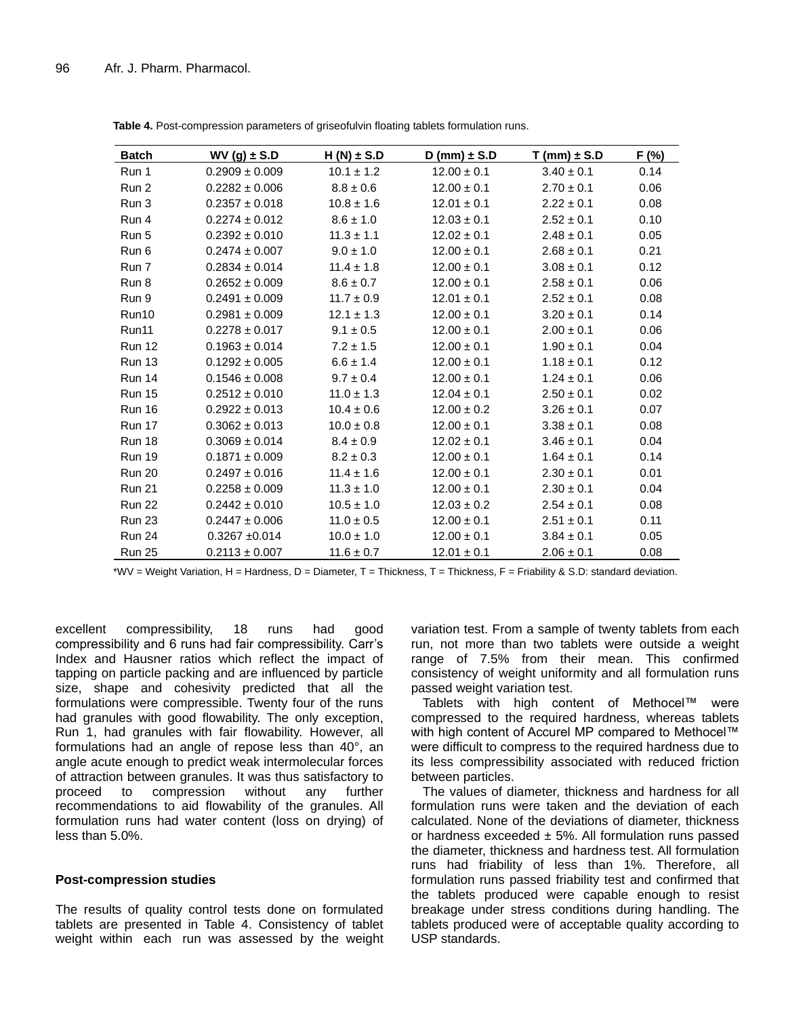| <b>Batch</b>  | $WV(g) \pm S.D$    | $H(N) \pm S.D$ | $D$ (mm) $\pm$ S.D | $T$ (mm) $\pm$ S.D | $F(\frac{\%}{\theta})$ |
|---------------|--------------------|----------------|--------------------|--------------------|------------------------|
| Run 1         | $0.2909 \pm 0.009$ | $10.1 \pm 1.2$ | $12.00 \pm 0.1$    | $3.40 \pm 0.1$     | 0.14                   |
| Run 2         | $0.2282 \pm 0.006$ | $8.8 \pm 0.6$  | $12.00 \pm 0.1$    | $2.70 \pm 0.1$     | 0.06                   |
| Run 3         | $0.2357 \pm 0.018$ | $10.8 \pm 1.6$ | $12.01 \pm 0.1$    | $2.22 \pm 0.1$     | 0.08                   |
| Run 4         | $0.2274 \pm 0.012$ | $8.6 \pm 1.0$  | $12.03 \pm 0.1$    | $2.52 \pm 0.1$     | 0.10                   |
| Run 5         | $0.2392 \pm 0.010$ | $11.3 \pm 1.1$ | $12.02 \pm 0.1$    | $2.48 \pm 0.1$     | 0.05                   |
| Run 6         | $0.2474 \pm 0.007$ | $9.0 \pm 1.0$  | $12.00 \pm 0.1$    | $2.68 \pm 0.1$     | 0.21                   |
| Run 7         | $0.2834 \pm 0.014$ | $11.4 \pm 1.8$ | $12.00 \pm 0.1$    | $3.08 \pm 0.1$     | 0.12                   |
| Run 8         | $0.2652 \pm 0.009$ | $8.6 \pm 0.7$  | $12.00 \pm 0.1$    | $2.58 \pm 0.1$     | 0.06                   |
| Run 9         | $0.2491 \pm 0.009$ | $11.7 \pm 0.9$ | $12.01 \pm 0.1$    | $2.52 \pm 0.1$     | 0.08                   |
| Run10         | $0.2981 \pm 0.009$ | $12.1 \pm 1.3$ | $12.00 \pm 0.1$    | $3.20 \pm 0.1$     | 0.14                   |
| Run11         | $0.2278 \pm 0.017$ | $9.1 \pm 0.5$  | $12.00 \pm 0.1$    | $2.00 \pm 0.1$     | 0.06                   |
| <b>Run 12</b> | $0.1963 \pm 0.014$ | $7.2 \pm 1.5$  | $12.00 \pm 0.1$    | $1.90 \pm 0.1$     | 0.04                   |
| <b>Run 13</b> | $0.1292 \pm 0.005$ | $6.6 \pm 1.4$  | $12.00 \pm 0.1$    | $1.18 \pm 0.1$     | 0.12                   |
| <b>Run 14</b> | $0.1546 \pm 0.008$ | $9.7 \pm 0.4$  | $12.00 \pm 0.1$    | $1.24 \pm 0.1$     | 0.06                   |
| <b>Run 15</b> | $0.2512 \pm 0.010$ | $11.0 \pm 1.3$ | $12.04 \pm 0.1$    | $2.50 \pm 0.1$     | 0.02                   |
| <b>Run 16</b> | $0.2922 \pm 0.013$ | $10.4 \pm 0.6$ | $12.00 \pm 0.2$    | $3.26 \pm 0.1$     | 0.07                   |
| <b>Run 17</b> | $0.3062 \pm 0.013$ | $10.0 \pm 0.8$ | $12.00 \pm 0.1$    | $3.38 \pm 0.1$     | 0.08                   |
| <b>Run 18</b> | $0.3069 \pm 0.014$ | $8.4 \pm 0.9$  | $12.02 \pm 0.1$    | $3.46 \pm 0.1$     | 0.04                   |
| <b>Run 19</b> | $0.1871 \pm 0.009$ | $8.2 \pm 0.3$  | $12.00 \pm 0.1$    | $1.64 \pm 0.1$     | 0.14                   |
| <b>Run 20</b> | $0.2497 \pm 0.016$ | $11.4 \pm 1.6$ | $12.00 \pm 0.1$    | $2.30 \pm 0.1$     | 0.01                   |
| <b>Run 21</b> | $0.2258 \pm 0.009$ | $11.3 \pm 1.0$ | $12.00 \pm 0.1$    | $2.30 \pm 0.1$     | 0.04                   |
| <b>Run 22</b> | $0.2442 \pm 0.010$ | $10.5 \pm 1.0$ | $12.03 \pm 0.2$    | $2.54 \pm 0.1$     | 0.08                   |
| <b>Run 23</b> | $0.2447 \pm 0.006$ | $11.0 \pm 0.5$ | $12.00 \pm 0.1$    | $2.51 \pm 0.1$     | 0.11                   |
| <b>Run 24</b> | $0.3267 + 0.014$   | $10.0 \pm 1.0$ | $12.00 \pm 0.1$    | $3.84 \pm 0.1$     | 0.05                   |
| <b>Run 25</b> | $0.2113 \pm 0.007$ | $11.6 \pm 0.7$ | $12.01 \pm 0.1$    | $2.06 \pm 0.1$     | 0.08                   |

**Table 4.** Post-compression parameters of griseofulvin floating tablets formulation runs.

\*WV = Weight Variation, H = Hardness, D = Diameter, T = Thickness, T = Thickness, F = Friability & S.D: standard deviation.

excellent compressibility, 18 runs had good compressibility and 6 runs had fair compressibility. Carr"s Index and Hausner ratios which reflect the impact of tapping on particle packing and are influenced by particle size, shape and cohesivity predicted that all the formulations were compressible. Twenty four of the runs had granules with good flowability. The only exception, Run 1, had granules with fair flowability. However, all formulations had an angle of repose less than 40°, an angle acute enough to predict weak intermolecular forces of attraction between granules. It was thus satisfactory to proceed to compression without any further recommendations to aid flowability of the granules. All formulation runs had water content (loss on drying) of less than 5.0%.

#### **Post-compression studies**

The results of quality control tests done on formulated tablets are presented in Table 4. Consistency of tablet weight within each run was assessed by the weight

variation test. From a sample of twenty tablets from each run, not more than two tablets were outside a weight range of 7.5% from their mean. This confirmed consistency of weight uniformity and all formulation runs passed weight variation test.

Tablets with high content of Methocel™ were compressed to the required hardness, whereas tablets with high content of Accurel MP compared to Methocel™ were difficult to compress to the required hardness due to its less compressibility associated with reduced friction between particles.

The values of diameter, thickness and hardness for all formulation runs were taken and the deviation of each calculated. None of the deviations of diameter, thickness or hardness exceeded  $\pm$  5%. All formulation runs passed the diameter, thickness and hardness test. All formulation runs had friability of less than 1%. Therefore, all formulation runs passed friability test and confirmed that the tablets produced were capable enough to resist breakage under stress conditions during handling. The tablets produced were of acceptable quality according to USP standards.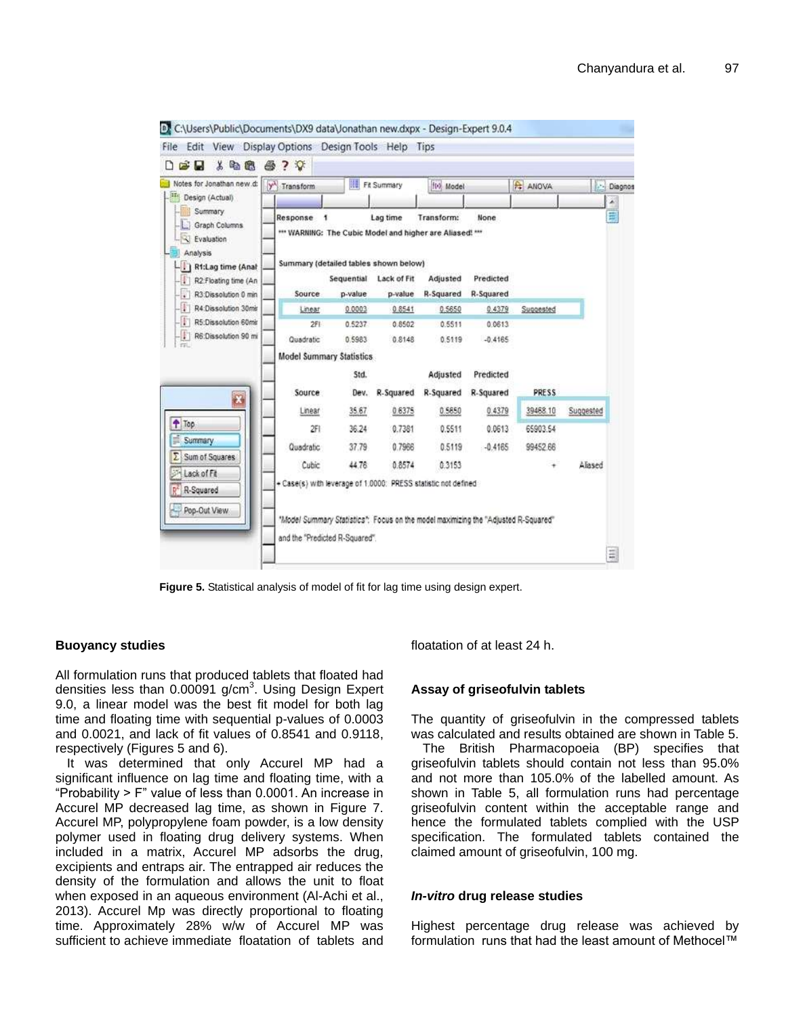| File<br>Edit                                               | View Display Options Design Tools Help Tips                                                                          |                       |                        |                       |                        |              |           |         |
|------------------------------------------------------------|----------------------------------------------------------------------------------------------------------------------|-----------------------|------------------------|-----------------------|------------------------|--------------|-----------|---------|
| $\mathbb{R}$<br>人名意<br>n<br>Notes for Jonathan new d:      | $\bigotimes$ ?<br>y <sup>x</sup> Transform                                                                           |                       | <b>III</b> Fit Summary | 100 Model             |                        | A ANOVA      |           | Diagnos |
| Design (Actual)                                            |                                                                                                                      |                       |                        |                       |                        |              |           | Ä       |
| Summary<br>Graph Columns<br>Evaluation                     | Response<br>1<br>*** WARNING: The Cubic Model and higher are Aliased! ***                                            |                       | Lag time               | Transform:            | None                   |              |           | E       |
| Analysis<br>-     R1:Lag time (Anal                        | Summary (detailed tables shown below)                                                                                |                       |                        |                       |                        |              |           |         |
| R2 Floating time (An<br>-11<br>R3:Dissolution 0 min<br>-19 | Source                                                                                                               | Sequential<br>p-value | Lack of Fit<br>p-value | Adjusted<br>R-Squared | Predicted<br>R-Squared |              |           |         |
| R4:Dissolution 30min                                       | Linear                                                                                                               | 0.0003                | 0.8541                 | 0.5650                | 0.4379                 | Suggested    |           |         |
| 排<br>R5:Dissolution 60min                                  | 2F1                                                                                                                  | 0.5237                | 0.8502                 | 0.5511                | 0.0613                 |              |           |         |
| R6:Dissolution 90 mi<br>$T_{\rm F}$                        | Quadratic                                                                                                            | 0.5983                | 0.8148                 | 0.5119                | $-0.4165$              |              |           |         |
|                                                            | Model Summary Statistics                                                                                             |                       |                        |                       |                        |              |           |         |
|                                                            |                                                                                                                      | Std.                  |                        | Adjusted              | Predicted              |              |           |         |
| B                                                          | Source                                                                                                               | Dev.                  | R-Squared              | R-Squared             | R-Squared              | <b>PRESS</b> |           |         |
|                                                            | Linear                                                                                                               | 35.67                 | 0.6375                 | 0.5850                | 0.4379                 | 39488.10     | Suggested |         |
| $+$ Top                                                    | 2FI                                                                                                                  | 36.24                 | 0.7381                 | 0.5511                | 0.0613                 | 65903.54     |           |         |
| ţÍ.<br>Summary                                             | Quadratic                                                                                                            | 37.79                 | 0.7966                 | 0.5119                | $-0.4165$              | 99452.66     |           |         |
| $\Sigma$ Sum of Squares                                    | Cubic                                                                                                                | 44.76                 | 0.8574                 | 0.3153                |                        |              | Aliased   |         |
| Lack of Fit<br>R-Squared<br>R <sup>2</sup>                 | + Case(s) with leverage of 1,0000: PRESS statistic not defined                                                       |                       |                        |                       |                        |              |           |         |
| Pop-Out View                                               | "Model Summary Statistics": Focus on the model maximizing the "Adjusted R-Squared"<br>and the "Predicted R-Squared". |                       |                        |                       |                        |              |           |         |

**Figure 5.** Statistical analysis of model of fit for lag time using design expert.

## **Buoyancy studies**

All formulation runs that produced tablets that floated had densities less than 0.00091 g/cm<sup>3</sup>. Using Design Expert 9.0, a linear model was the best fit model for both lag time and floating time with sequential p-values of 0.0003 and 0.0021, and lack of fit values of 0.8541 and 0.9118, respectively (Figures 5 and 6).

It was determined that only Accurel MP had a significant influence on lag time and floating time, with a "Probability > F" value of less than 0.0001. An increase in Accurel MP decreased lag time, as shown in Figure 7. Accurel MP, polypropylene foam powder, is a low density polymer used in floating drug delivery systems. When included in a matrix, Accurel MP adsorbs the drug, excipients and entraps air. The entrapped air reduces the density of the formulation and allows the unit to float when exposed in an aqueous environment (Al-Achi et al., 2013). Accurel Mp was directly proportional to floating time. Approximately 28% w/w of Accurel MP was sufficient to achieve immediate floatation of tablets and

floatation of at least 24 h.

## **Assay of griseofulvin tablets**

The quantity of griseofulvin in the compressed tablets was calculated and results obtained are shown in Table 5.

The British Pharmacopoeia (BP) specifies that griseofulvin tablets should contain not less than 95.0% and not more than 105.0% of the labelled amount. As shown in Table 5, all formulation runs had percentage griseofulvin content within the acceptable range and hence the formulated tablets complied with the USP specification. The formulated tablets contained the claimed amount of griseofulvin, 100 mg.

# *In-vitro* **drug release studies**

Highest percentage drug release was achieved by formulation runs that had the least amount of Methocel™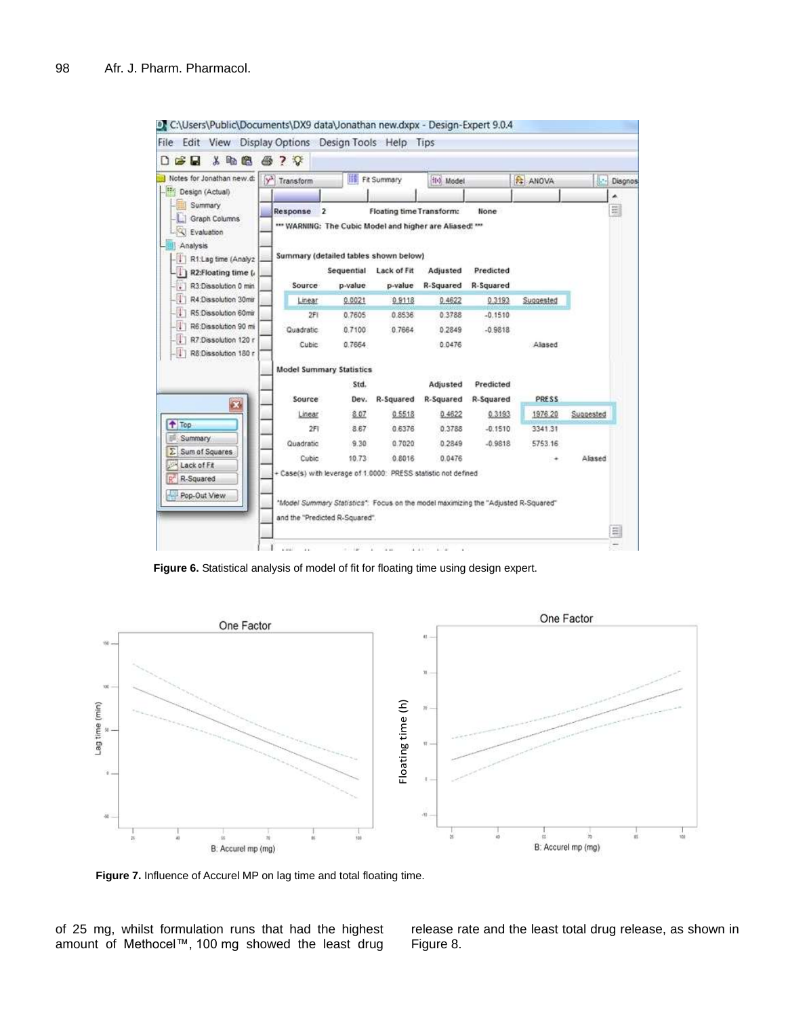| Notes for Jonathan new.d:                                          |  | y <sup>x</sup> Transform                                                                                                      |            | <b>III</b> Fit Summary          | 100 Model |           | <b>ANOVA</b> | Je.       | Diagnos |
|--------------------------------------------------------------------|--|-------------------------------------------------------------------------------------------------------------------------------|------------|---------------------------------|-----------|-----------|--------------|-----------|---------|
| <b>Mill</b> Design (Actual)                                        |  |                                                                                                                               |            |                                 |           |           |              |           | ۸       |
| Summary<br><b>Graph Columns</b><br><b>Q</b> Evaluation<br>Analysis |  | Response<br>$\mathbf{z}$<br>*** WARNING: The Cubic Model and higher are Aliased! ***<br>Summary (detailed tables shown below) |            | <b>Floating time Transform:</b> |           | None      |              |           | 目       |
| R1:Lag time (Analyz<br>-11 1<br>R2:Floating time (                 |  |                                                                                                                               | Sequential | Lack of Fit                     | Adjusted  | Predicted |              |           |         |
| R3:Dissolution 0 min<br>W                                          |  | Source                                                                                                                        | p-value    | p-value                         | R-Squared | R-Squared |              |           |         |
| ₩<br>R4 Dissolution 30min                                          |  | Linear                                                                                                                        | 0.0021     | 0.9118                          | 0.4622    | 0.3193    | Suggested    |           |         |
| ₩<br>R5:Dissolution 60min                                          |  | 2FI                                                                                                                           | 0.7605     | 0.8536                          | 0.3788    | $-0.1510$ |              |           |         |
| ₩<br>R6:Dissolution 90 mi                                          |  | Quadratic                                                                                                                     | 0.7100     | 0.7664                          | 0.2849    | $-0.9818$ |              |           |         |
| ₩<br>R7:Dissolution 120 r<br>41<br>R8:Dissolution 180 r            |  | Cubic                                                                                                                         | 0.7664     |                                 | 0.0476    |           | Alased       |           |         |
|                                                                    |  | <b>Model Summary Statistics</b>                                                                                               |            |                                 |           |           |              |           |         |
|                                                                    |  |                                                                                                                               | Std.       |                                 | Adjusted  | Predicted |              |           |         |
| ×.                                                                 |  | Source                                                                                                                        | Dev.       | R-Squared                       | R-Squared | R-Squared | PRESS        |           |         |
|                                                                    |  | Linear                                                                                                                        | 8.07       | 0.5518                          | 0.4622    | 0.3193    | 1976.20      | Suggested |         |
| <b>Top</b>                                                         |  | 2F1                                                                                                                           | 8.67       | 0.6376                          | 0.3788    | $-0.1510$ | 3341.31      |           |         |
|                                                                    |  |                                                                                                                               | 9.30       | 0.7020                          | 0.2849    | $-0.9818$ | 5753.16      |           |         |
| 晨<br>Summary.                                                      |  | Quadratic                                                                                                                     |            |                                 |           |           |              |           |         |
| Σ<br>Sum of Squares<br>Lack of Fit                                 |  | Cubic                                                                                                                         | 10.73      | 0.8016                          | 0.0476    |           | ٠            | Alased    |         |

**Figure 6.** Statistical analysis of model of fit for floating time using design expert.



**Figure 7.** Influence of Accurel MP on lag time and total floating time.

of 25 mg, whilst formulation runs that had the highest amount of Methocel™, 100 mg showed the least drug

release rate and the least total drug release, as shown in Figure 8.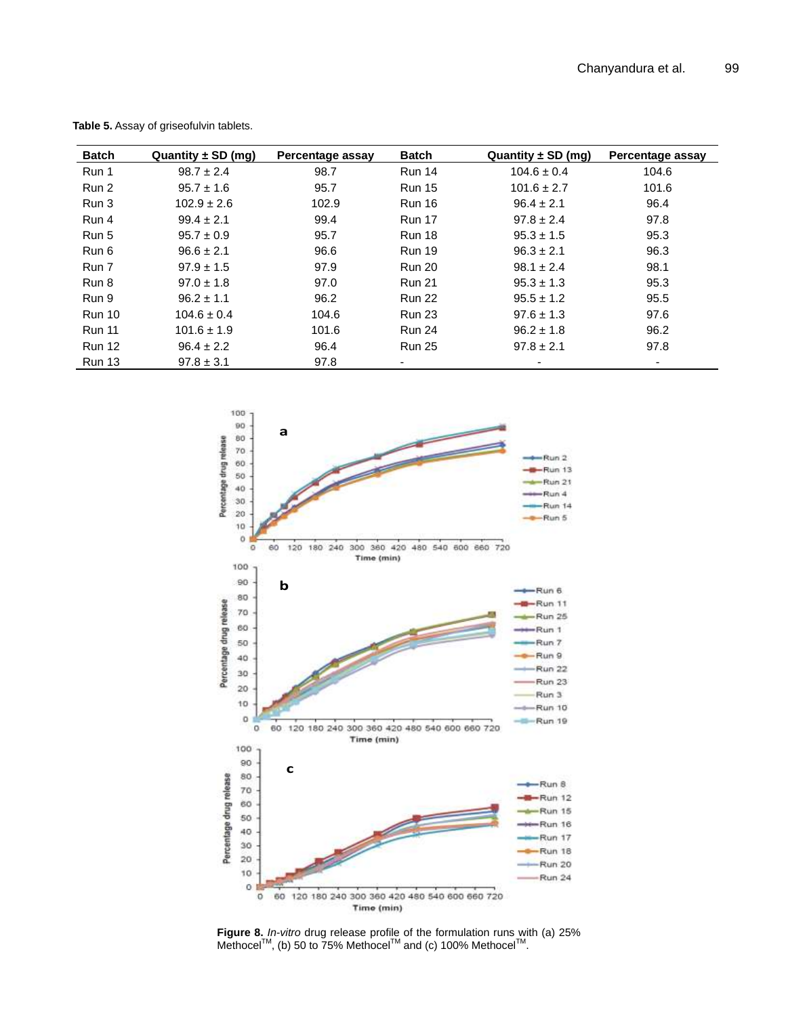| <b>Batch</b>  | Quantity $\pm$ SD (mg) | <b>Percentage assay</b> | <b>Batch</b>  | Quantity $\pm$ SD (mg) | Percentage assay |
|---------------|------------------------|-------------------------|---------------|------------------------|------------------|
| Run 1         | $98.7 \pm 2.4$         | 98.7                    | <b>Run 14</b> | $104.6 \pm 0.4$        | 104.6            |
| Run 2         | $95.7 \pm 1.6$         | 95.7                    | <b>Run 15</b> | $101.6 \pm 2.7$        | 101.6            |
| Run 3         | $102.9 \pm 2.6$        | 102.9                   | <b>Run 16</b> | $96.4 \pm 2.1$         | 96.4             |
| Run 4         | $99.4 \pm 2.1$         | 99.4                    | <b>Run 17</b> | $97.8 \pm 2.4$         | 97.8             |
| Run 5         | $95.7 \pm 0.9$         | 95.7                    | <b>Run 18</b> | $95.3 \pm 1.5$         | 95.3             |
| Run 6         | $96.6 \pm 2.1$         | 96.6                    | <b>Run 19</b> | $96.3 \pm 2.1$         | 96.3             |
| Run 7         | $97.9 \pm 1.5$         | 97.9                    | <b>Run 20</b> | $98.1 \pm 2.4$         | 98.1             |
| Run 8         | $97.0 \pm 1.8$         | 97.0                    | <b>Run 21</b> | $95.3 \pm 1.3$         | 95.3             |
| Run 9         | $96.2 \pm 1.1$         | 96.2                    | <b>Run 22</b> | $95.5 \pm 1.2$         | 95.5             |
| <b>Run 10</b> | $104.6 \pm 0.4$        | 104.6                   | <b>Run 23</b> | $97.6 \pm 1.3$         | 97.6             |
| <b>Run 11</b> | $101.6 \pm 1.9$        | 101.6                   | <b>Run 24</b> | $96.2 \pm 1.8$         | 96.2             |
| <b>Run 12</b> | $96.4 \pm 2.2$         | 96.4                    | <b>Run 25</b> | $97.8 \pm 2.1$         | 97.8             |
| <b>Run 13</b> | $97.8 \pm 3.1$         | 97.8                    | ۰             |                        |                  |

**Table 5.** Assay of griseofulvin tablets.



**Figure 8.** *In-vitro* drug release profile of the formulation runs with (a) 25% Methocel<sup>™</sup>, (b) 50 to 75% Methocel<sup>™</sup> and (c) 100% Methocel<sup>™</sup>.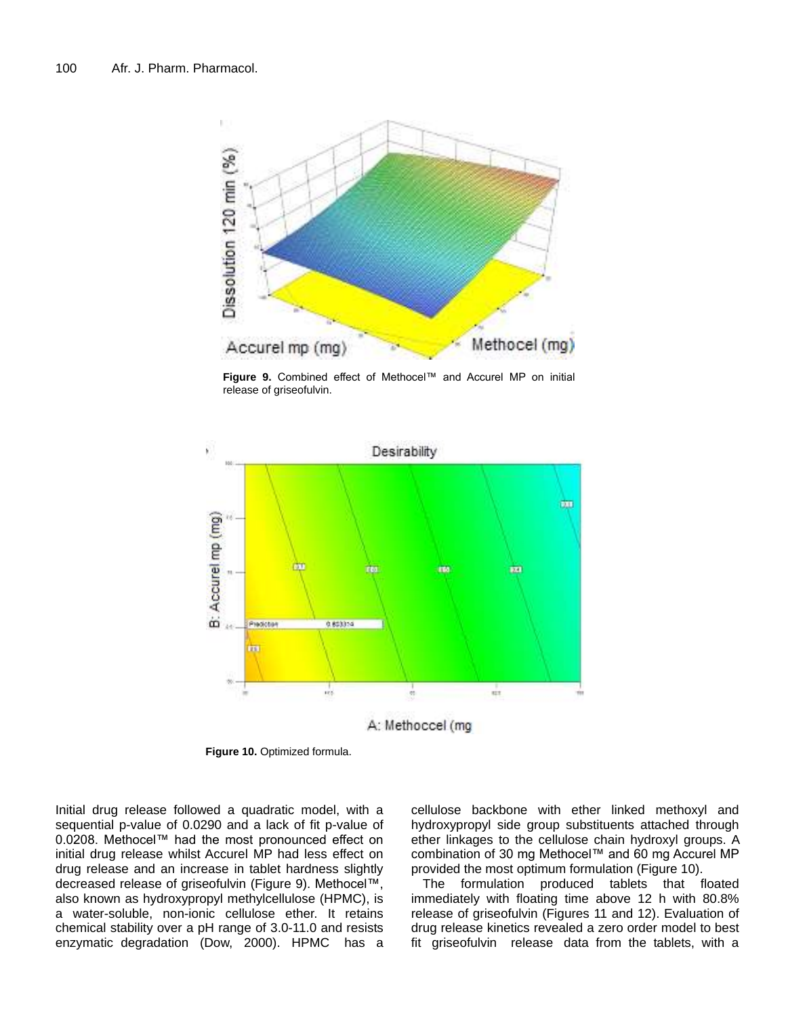

**Figure 9.** Combined effect of Methocel™ and Accurel MP on initial release of griseofulvin.



A: Methoccel (mg

**Figure 10.** Optimized formula.

Initial drug release followed a quadratic model, with a sequential p-value of 0.0290 and a lack of fit p-value of 0.0208. Methocel™ had the most pronounced effect on initial drug release whilst Accurel MP had less effect on drug release and an increase in tablet hardness slightly decreased release of griseofulvin (Figure 9). Methocel™, also known as hydroxypropyl methylcellulose (HPMC), is a water-soluble, non-ionic cellulose ether. It retains chemical stability over a pH range of 3.0-11.0 and resists enzymatic degradation (Dow, 2000). HPMC has a

cellulose backbone with ether linked methoxyl and hydroxypropyl side group substituents attached through ether linkages to the cellulose chain hydroxyl groups. A combination of 30 mg Methocel™ and 60 mg Accurel MP provided the most optimum formulation (Figure 10).

The formulation produced tablets that floated immediately with floating time above 12 h with 80.8% release of griseofulvin (Figures 11 and 12). Evaluation of drug release kinetics revealed a zero order model to best fit griseofulvin release data from the tablets, with a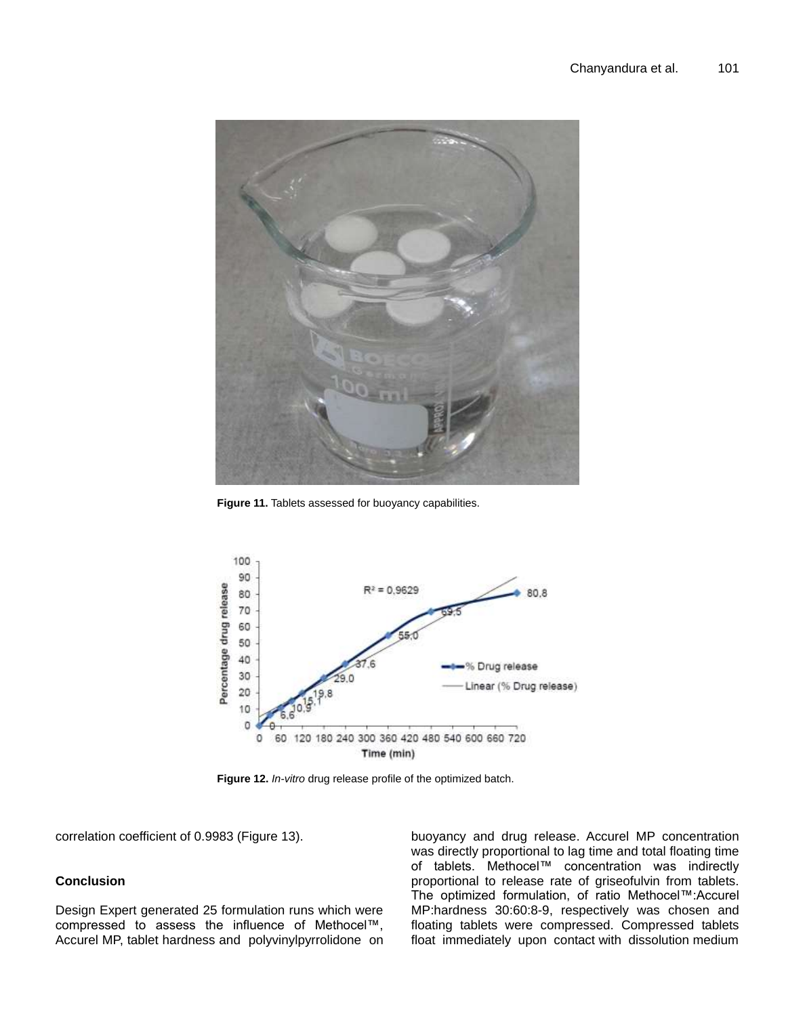

**Figure 11.** Tablets assessed for buoyancy capabilities.



**Figure 12.** *In-vitro* drug release profile of the optimized batch.

correlation coefficient of 0.9983 (Figure 13).

# **Conclusion**

Design Expert generated 25 formulation runs which were compressed to assess the influence of Methocel™, Accurel MP, tablet hardness and polyvinylpyrrolidone on

buoyancy and drug release. Accurel MP concentration was directly proportional to lag time and total floating time of tablets. Methocel™ concentration was indirectly proportional to release rate of griseofulvin from tablets. The optimized formulation, of ratio Methocel™:Accurel MP:hardness 30:60:8-9, respectively was chosen and floating tablets were compressed. Compressed tablets float immediately upon contact with dissolution medium